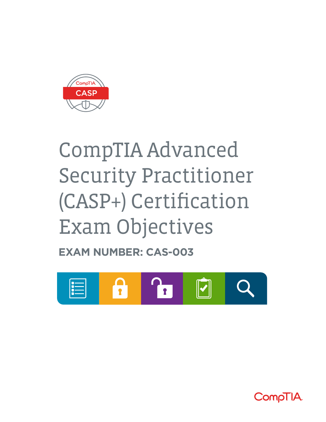

# CompTIA Advanced Security Practitioner (CASP+) Certification Exam Objectives

**EXAM NUMBER: CAS-003**



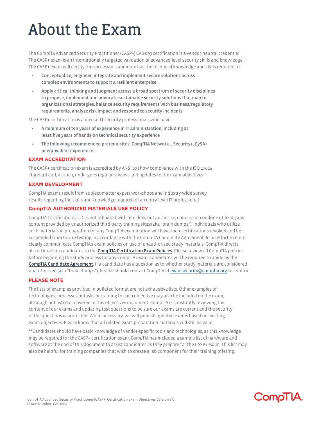## About the Exam

The CompTIA Advanced Security Practitioner (CASP+) CAS-003 certification is a vendor-neutral credential. The CASP+ exam is an internationally targeted validation of advanced-level security skills and knowledge. The CASP+ exam will certify the successful candidate has the technical knowledge and skills required to:

- Conceptualize, engineer, integrate and implement secure solutions across complex environments to support a resilient enterprise
- Apply critical thinking and judgment across a broad spectrum of security disciplines to propose, implement and advocate sustainable security solutions that map to organizational strategies, balance security requirements with business/regulatory requirements, analyze risk impact and respond to security incidents

The CASP+ certification is aimed at IT security professionals who have:

- A minimum of ten years of experience in IT administration, including at least five years of hands-on technical security experience
- The following recommended prerequisites: CompTIA Network+, Security+, CySA+ or equivalent experience

### **EXAM ACCREDITATION**

The CASP+ certification exam is accredited by ANSI to show compliance with the ISO 17024 standard and, as such, undergoes regular reviews and updates to the exam objectives.

### **EXAM DEVELOPMENT**

CompTIA exams result from subject-matter expert workshops and industry-wide survey results regarding the skills and knowledge required of an entry-level IT professional.

### **CompTIA AUTHORIZED MATERIALS USE POLICY**

CompTIA Certifications, LLC is not affiliated with and does not authorize, endorse or condone utilizing any content provided by unauthorized third-party training sites (aka "brain dumps"). Individuals who utilize such materials in preparation for any CompTIA examination will have their certifications revoked and be suspended from future testing in accordance with the CompTIA Candidate Agreement. In an effort to more clearly communicate CompTIA's exam policies on use of unauthorized study materials, CompTIA directs all certification candidates to the **[CompTIA Certification Exam Policies](http://certification.comptia.org/Training/testingcenters/policies.aspx)**. Please review all CompTIA policies before beginning the study process for any CompTIA exam. Candidates will be required to abide by the [CompTIA Candidate Agreement](http://certification.comptia.org/Training/testingcenters/policies/agreement.aspx). If a candidate has a question as to whether study materials are considered unauthorized (aka "brain dumps"), he/she should contact CompTIA at [examsecurity@comptia.org](mailto:examsecurity%40comptia.org?subject=) to confirm.

### **PLEASE NOTE**

The lists of examples provided in bulleted format are not exhaustive lists. Other examples of technologies, processes or tasks pertaining to each objective may also be included on the exam, although not listed or covered in this objectives document. CompTIA is constantly reviewing the content of our exams and updating test questions to be sure our exams are current and the security of the questions is protected. When necessary, we will publish updated exams based on existing exam objectives. Please know that all related exam preparation materials will still be valid.

\*\*Candidates should have basic knowledge of vendor-specific tools and technologies, as this knowledge may be required for the CASP+ certification exam. CompTIA has included a sample list of hardware and software at the end of this document to assist candidates as they prepare for the CASP+ exam. This list may also be helpful for training companies that wish to create a lab component for their training offering.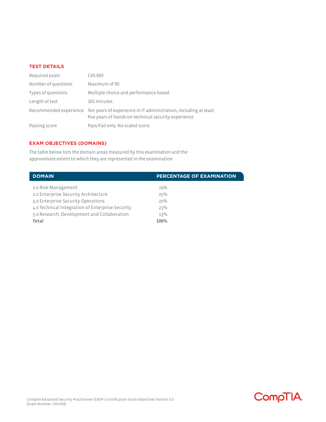### **TEST DETAILS**

| Required exam       | CAS-003                                                                                                                                         |
|---------------------|-------------------------------------------------------------------------------------------------------------------------------------------------|
| Number of questions | Maximum of 90                                                                                                                                   |
| Types of questions  | Multiple choice and performance-based                                                                                                           |
| Length of test      | 165 minutes                                                                                                                                     |
|                     | Recommended experience Ten years of experience in IT administration, including at least<br>five years of hands-on technical security experience |
| Passing score       | Pass/Fail only. No scaled score.                                                                                                                |

### **EXAM OBJECTIVES (DOMAINS)**

The table below lists the domain areas measured by this examination and the approximate extent to which they are represented in the examination:

| <b>DOMAIN</b>                                    | <b>PERCENTAGE OF EXAMINATION</b> |
|--------------------------------------------------|----------------------------------|
| 1.0 Risk Management                              | 19%                              |
| 2.0 Enterprise Security Architecture             | 25%                              |
| 3.0 Enterprise Security Operations               | 20%                              |
| 4.0 Technical Integration of Enterprise Security | 23%                              |
| 5.0 Research, Development and Collaboration      | 13%                              |
| <b>Total</b>                                     | 100%                             |

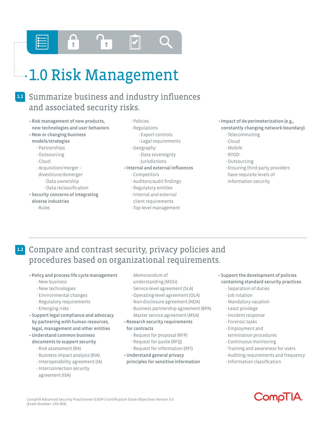# 1.0 Risk Management

 $\mathbf{r}$ 

### Summarize business and industry influences **1.1** and associated security risks.

• Risk management of new products, new technologies and user behaviors

 $\Box$ 

 $\bullet$ 

- New or changing business
- models/strategies
	- Partnerships
	- Outsourcing
	- Cloud
	- Acquisition/merger –
	- divestiture/demerger
		- Data ownership
	- Data reclassification
- Security concerns of integrating diverse industries
	- Rules

- Policies

 $|\vec{.}|$ 

- Regulations
- Export controls
- Legal requirements
- Geography
- Data sovereignty
- Jurisdictions
- Internal and external influences
	- Competitors
	- Auditors/audit findings
	- Regulatory entities
	- Internal and external
	- client requirements
	- Top-level management
- Impact of de-perimeterization (e.g., constantly changing network boundary)
	- Telecommuting
	- Cloud
	- Mobile
	- BYOD
	- Outsourcing
	- Ensuring third-party providers have requisite levels of
	- information security

### Compare and contrast security, privacy policies and **1.2** procedures based on organizational requirements.

### • Policy and process life cycle management

- New business
- New technologies
- Environmental changes
- Regulatory requirements
- Emerging risks
- Support legal compliance and advocacy by partnering with human resources, legal, management and other entities
- Understand common business
- documents to support security
	- Risk assessment (RA)
	- Business impact analysis (BIA)
	- Interoperability agreement (IA) - Interconnection security
	- agreement (ISA)
- Memorandum of
- understanding (MOU)
- Service-level agreement (SLA)
- Operating-level agreement (OLA)
- Non-disclosure agreement (NDA)
- Business partnership agreement (BPA)
- Master service agreement (MSA)
- Research security requirements for contracts
	- Request for proposal (RFP)
	- Request for quote (RFQ)
	- Request for information (RFI)
- Understand general privacy principles for sensitive information
- Support the development of policies containing standard security practices
	- Separation of duties
	- Job rotation
	- Mandatory vacation
	- Least privilege
	- Incident response
	- Forensic tasks
	- Employment and
	- termination procedures
	- Continuous monitoring
	- Training and awareness for users
	- Auditing requirements and frequency
	- Information classification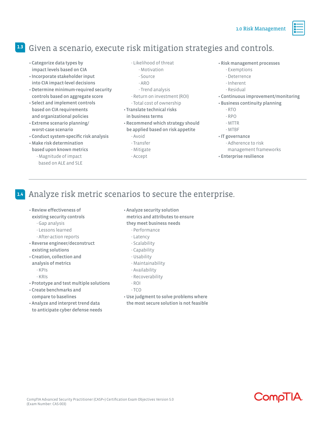### Given a scenario, execute risk mitigation strategies and controls. **1.3**

- Categorize data types by impact levels based on CIA
- Incorporate stakeholder input into CIA impact-level decisions
- Determine minimum-required security controls based on aggregate score
- Select and implement controls based on CIA requirements and organizational policies
- Extreme scenario planning/ worst-case scenario
- Conduct system-specific risk analysis
- Make risk determination based upon known metrics - Magnitude of impact
	- based on ALE and SLE
- Likelihood of threat
	- Motivation
	- Source - ARO
	- Trend analysis
- Return on investment (ROI)
- Total cost of ownership
- Translate technical risks in business terms
- Recommend which strategy should be applied based on risk appetite
	- Avoid
	- Transfer
	- Mitigate
	- Accept
- Risk management processes
	- Exemptions
	- Deterrence
	- Inherent
	- Residual
- Continuous improvement/monitoring
- Business continuity planning
	- RTO
	- $-$  RPO
	- MTTR
	- MTBF
- IT governance
	- Adherence to risk
	- management frameworks
- Enterprise resilience

#### Analyze risk metric scenarios to secure the enterprise. **1.4**

- Review effectiveness of existing security controls
	- Gap analysis
	- Lessons learned
	- After-action reports
- Reverse engineer/deconstruct existing solutions
- Creation, collection and analysis of metrics
	- KPIs
	-
	- KRIs
- Prototype and test multiple solutions
- Create benchmarks and compare to baselines
- Analyze and interpret trend data to anticipate cyber defense needs

### • Analyze security solution metrics and attributes to ensure they meet business needs

- Performance
- Latency
- Scalability
- Capability
- Usability
- Maintainability
- Availability
- Recoverability
- ROI
- TCO
- Use judgment to solve problems where the most secure solution is not feasible

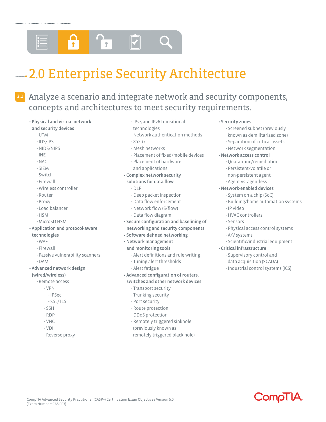## 2.0 Enterprise Security Architecture

 $\bm{\triangledown}$ 

 $\mathbf{P}$ 

### Analyze a scenario and integrate network and security components, concepts and architectures to meet security requirements. **2.1**

• Physical and virtual network and security devices

 $\bullet$ 

- UTM
- IDS/IPS
- NIDS/NIPS
- INE
- NAC
- SIEM
- Switch
- Firewall
- Wireless controller
- Router
- Proxy
- Load balancer
- HSM
- MicroSD HSM
- Application and protocol-aware
- technologies
	- WAF
	- Firewall
	- Passive vulnerability scanners
	- DAM
- Advanced network design
- (wired/wireless)
	- Remote access
		- VPN
		- IPSec
		- SSL/TLS
		- SSH
		- RDP
		- VNC
		- VDI
		- Reverse proxy
- IPv4 and IPv6 transitional
- technologies
- Network authentication methods
- 802.1x
- Mesh networks
- Placement of fixed/mobile devices
- Placement of hardware and applications

### • Complex network security

- solutions for data flow
- DLP
- Deep packet inspection
- Data flow enforcement
- Network flow (S/flow)
- Data flow diagram
- Secure configuration and baselining of networking and security components
- Software-defined networking
- Network management
- and monitoring tools
	- Alert definitions and rule writing
	- Tuning alert thresholds
	- Alert fatigue
- Advanced configuration of routers,
- switches and other network devices
	- Transport security
	- Trunking security
	- Port security
	- Route protection
	- DDoS protection
	- Remotely triggered sinkhole
	- (previously known as
	- remotely triggered black hole)
- Security zones
	- Screened subnet (previously
	- known as demilitarized zone)
	- Separation of critical assets
	- Network segmentation
- Network access control
	- Quarantine/remediation
	- Persistent/volatile or
	- non-persistent agent
	- Agent vs. agentless

### • Network-enabled devices

- System on a chip (SoC)
- Building/home automation systems
- IP video
- HVAC controllers
- Sensors
- Physical access control systems
	- A/V systems
	- Scientific/industrial equipment
- Critical infrastructure
	- Supervisory control and
	- data acquisition (SCADA)
	- Industrial control systems (ICS)

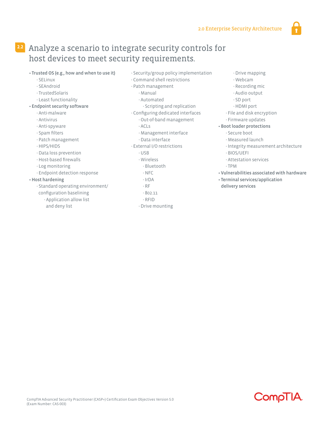### Analyze a scenario to integrate security controls for **2.2** host devices to meet security requirements.

|  |  | · Trusted OS (e.g., how and when to use it) |  |  |  |  |  |  |
|--|--|---------------------------------------------|--|--|--|--|--|--|
|--|--|---------------------------------------------|--|--|--|--|--|--|

- SELinux
- SEAndroid
- TrustedSolaris
- Least functionality
- Endpoint security software
	- Anti-malware
	- Antivirus
	- Anti-spyware
	- Spam filters
	- Patch management
	- HIPS/HIDS
	- Data loss prevention
	- Host-based firewalls
	- Log monitoring
	- Endpoint detection response
- Host hardening
	- Standard operating environment/ configuration baselining
	- Application allow list
		- and deny list
- Security/group policy implementation
- Command shell restrictions
- Patch management
	- Manual
	- Automated
	- Scripting and replication
- Configuring dedicated interfaces
	- Out-of-band management
	- ACLs
	- Management interface
	- Data interface
- External I/O restrictions
	- USB
	- Wireless
	- Bluetooth
	- NFC
	- IrDA
	- RF
	- 802.11
	- RFID
	- Drive mounting
- Drive mapping
- Webcam
- Recording mic
- Audio output
- SD port
- HDMI port
- File and disk encryption
- Firmware updates
- Boot loader protections
	- Secure boot
	- Measured launch
	- Integrity measurement architecture
	- BIOS/UEFI
	- Attestation services
	- TPM
- Vulnerabilities associated with hardware
- Terminal services/application delivery services

Compl IA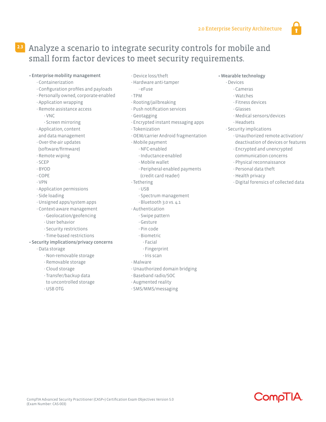### Analyze a scenario to integrate security controls for mobile and **2.3** small form factor devices to meet security requirements.

- Enterprise mobility management
	- Containerization
	- Configuration profiles and payloads
	- Personally owned, corporate-enabled
	- Application wrapping
	- Remote assistance access
		- VNC
		- Screen mirroring
	- Application, content
	- and data management
	- Over-the-air updates
	- (software/firmware)
	- Remote wiping
	- SCEP
	- BYOD
	- COPE
	- VPN
	- Application permissions
	- Side loading
	- Unsigned apps/system apps
	- Context-aware management
		- Geolocation/geofencing
		- User behavior
		- Security restrictions
		- Time-based restrictions

#### • Security implications/privacy concerns

- Data storage

- Non-removable storage
- Removable storage
- Cloud storage
- Transfer/backup data
- to uncontrolled storage
- USB OTG
- Device loss/theft
- Hardware anti-tamper
- eFuse
- TPM
- Rooting/jailbreaking
- Push notification services
- Geotagging
- Encrypted instant messaging apps
- Tokenization
- OEM/carrier Android fragmentation
- Mobile payment
	- NFC-enabled
	- Inductance-enabled
	- Mobile wallet
	- Peripheral-enabled payments
	- (credit card reader)
- Tethering
	- USB
	- Spectrum management
	- Bluetooth 3.0 vs. 4.1
- Authentication
	- Swipe pattern
	- Gesture
	- Pin code
	- Biometric
	- Facial
	- Fingerprint
	- Iris scan
- Malware
- Unauthorized domain bridging
- Baseband radio/SOC
- Augmented reality
- SMS/MMS/messaging
- Wearable technology
	- Devices
		- Cameras
		- Watches
		- Fitness devices
		- Glasses
		- Medical sensors/devices
		- Headsets
	- Security implications
		- Unauthorized remote activation/ deactivation of devices or features
		- Encrypted and unencrypted
		- communication concerns
		- Physical reconnaissance
		- Personal data theft
		- Health privacy
		- Digital forensics of collected data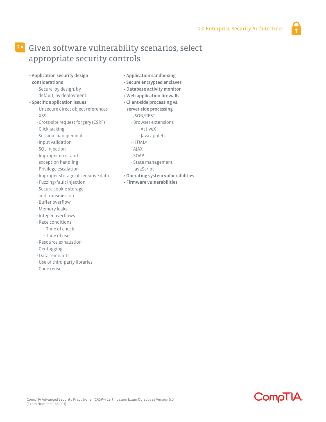### Given software vulnerability scenarios, select **2.4** appropriate security controls.

- Application security design considerations
	- Secure: by design, by
	- default, by deployment
- Specific application issues
	- Unsecure direct object references - XSS
	- Cross-site request forgery (CSRF)
	- Click-jacking
	- Session management
	- Input validation
	- SQL injection
	- Improper error and
	- exception handling - Privilege escalation
	-
	- Improper storage of sensitive data
	- Fuzzing/fault injection
	- Secure cookie storage and transmission
	- Buffer overflow
	- Memory leaks
	- Integer overflows
	- Race conditions
		- Time of check
		- Time of use
	- Resource exhaustion
	- Geotagging
	- Data remnants
	- Use of third-party libraries
	- Code reuse
- Application sandboxing
- Secure encrypted enclaves
- Database activity monitor
- Web application firewalls
- Client-side processing vs.
- server-side processing
	- JSON/REST
	- Browser extensions
		- ActiveX
		- Java applets
	- HTML5
	- AJAX
	- SOAP
	- State management
	- JavaScript
- Operating system vulnerabilities
- Firmware vulnerabilities

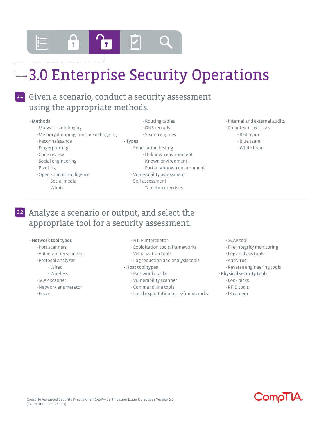

## 3.0 Enterprise Security Operations

### Given a scenario, conduct a security assessment **3.1** using the appropriate methods.

### • Methods

- Malware sandboxing
- Memory dumping, runtime debugging
- Reconnaissance
- Fingerprinting
- Code review
- Social engineering
- Pivoting
- Open source intelligence
	- Social media
		- Whois
- Routing tables
- DNS records
- Search engines

### • Types

- Penetration testing
	- Unknown environment
	- Known environment
	- Partially known environment
- Vulnerability assessment
- Self-assessment
	- Tabletop exercises
- Internal and external audits
- Color team exercises
	- Red team
		- Blue team
		- White team

### Analyze a scenario or output, and select the **3.2** appropriate tool for a security assessment.

#### • Network tool types

- Port scanners
- Vulnerability scanners
- Protocol analyzer
	- Wired
	- Wireless
- SCAP scanner
- 
- Network enumerator
- Fuzzer
- HTTP interceptor
- Exploitation tools/frameworks
- Visualization tools
- Log reduction and analysis tools

### • Host tool types

- Password cracker
- Vulnerability scanner
- Command line tools
- Local exploitation tools/frameworks
- SCAP tool
- File integrity monitoring
- Log analysis tools
- Antivirus
- Reverse engineering tools
- Physical security tools
	- Lock picks
	- RFID tools
	- IR camera

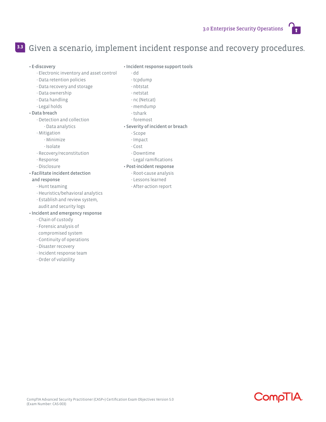### Given a scenario, implement incident response and recovery procedures. **3.3**

#### • E-discovery

#### • Incident response support tools - dd

- tcpdump - nbtstat - netstat - nc (Netcat) - memdump

- Electronic inventory and asset control - Data retention policies
- 
- Data recovery and storage
- Data ownership
- Data handling
- Legal holds

### • Data breach

- Detection and collection
- Data analytics
- Mitigation
	- Minimize
	- Isolate
- Recovery/reconstitution
- Response
- Disclosure
- Facilitate incident detection

### and response

- Hunt teaming
- Heuristics/behavioral analytics
- Establish and review system,
- audit and security logs

### • Incident and emergency response

- Chain of custody
- Forensic analysis of compromised system
- Continuity of operations
- Disaster recovery
- Incident response team
- Order of volatility

(Exam Number: CAS-003)

- tshark - foremost

### • Severity of incident or breach

- Scope
- Impact
- Cost
- Downtime
- Legal ramifications
- Post-incident response
	- Root-cause analysis
	- Lessons learned
	- After-action report

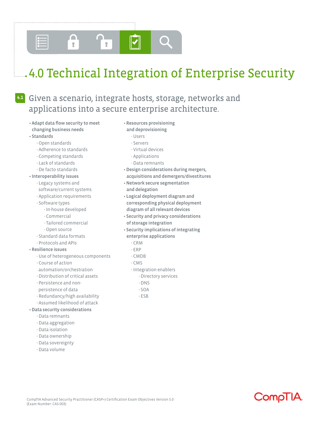$\blacksquare$  $\boldsymbol{\nabla}$  $\overline{R}$  $\hat{r}$ 

## 4.0 Technical Integration of Enterprise Security

### Given a scenario, integrate hosts, storage, networks and **4.1** applications into a secure enterprise architecture.

• Adapt data flow security to meet changing business needs

### • Standards

- Open standards
- Adherence to standards
- Competing standards
- Lack of standards
- De facto standards

### • Interoperability issues

- Legacy systems and
- software/current systems
- Application requirements
- Software types
	- In-house developed
	- Commercial
	- Tailored commercial
	- Open source
- Standard data formats
- Protocols and APIs

### • Resilience issues

- Use of heterogeneous components
- Course of action
- automation/orchestration
- Distribution of critical assets
- Persistence and non-
- persistence of data
- Redundancy/high availability
- Assumed likelihood of attack

### • Data security considerations

- Data remnants
- Data aggregation
- Data isolation
- Data ownership
- Data sovereignty
- Data volume

### • Resources provisioning

- and deprovisioning
	- Users
	- Servers
	- Virtual devices
	- Applications
	- Data remnants
- Design considerations during mergers, acquisitions and demergers/divestitures
- Network secure segmentation
- and delegation
- Logical deployment diagram and corresponding physical deployment diagram of all relevant devices
- Security and privacy considerations of storage integration
- Security implications of integrating
- enterprise applications
	- CRM
	- ERP
	- CMDB
	- CMS
	- Integration enablers
		- Directory services
		- DNS
		- SOA
		- ESB

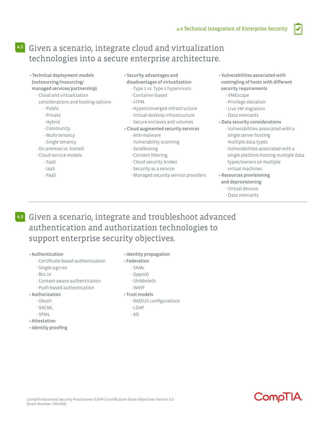- Given a scenario, integrate cloud and virtualization **4.2** technologies into a secure enterprise architecture.
	- Technical deployment models (outsourcing/insourcing/ managed services/partnership)

- Cloud and virtualization considerations and hosting options
	- Public
	- Private
	- Hybrid
	- Community
	- Multi-tenancy
	- Single tenancy
	-
- On-premise vs. hosted - Cloud service models
	- SaaS
	-
	- IaaS
	- PaaS

### • Security advantages and disadvantages of virtualization

- Type 1 vs. Type 2 hypervisors
- Container-based
- vTPM
- Hyperconverged infrastructure
- Virtual desktop infrastructure
- Secure enclaves and volumes

### • Cloud augmented security services

- Anti-malware
- Vulnerability scanning
- Sandboxing
- Content filtering
- Cloud security broker
- Security as a service
- Managed security service providers

• Vulnerabilities associated with comingling of hosts with different security requirements

- VMEscape
- Privilege elevation
- Live VM migration
- Data remnants
- Data security considerations
	- Vulnerabilities associated with a single server hosting multiple data types
	- Vulnerabilities associated with a single platform hosting multiple data types/owners on multiple virtual machines
- Resources provisioning and deprovisioning
	- Virtual devices
	- Data remnants

Given a scenario, integrate and troubleshoot advanced **4.3** authentication and authorization technologies to support enterprise security objectives.

#### • Authentication

- Certificate-based authentication
- Single sign-on
- 802.1x
- Context-aware authentication
- Push-based authentication
- Authorization
	- OAuth
	- XACML
	- SPML
- Attestation
- Identity proofing

#### • Identity propagation

- Federation
	- SAML
	- OpenID
	- Shibboleth
	- WAYF
- Trust models
	- RADIUS configurations
	- LDAP
	- AD

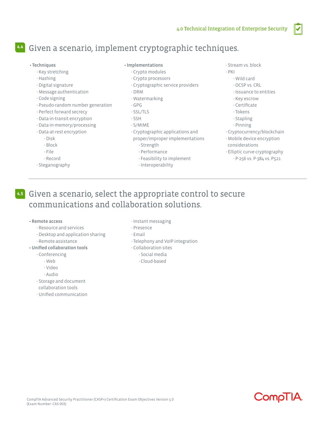### Given a scenario, implement cryptographic techniques. **4.4**

#### • Techniques

- Key stretching
- Hashing
- Digital signature
- Message authentication
- Code signing
- Pseudo-random number generation
- Perfect forward secrecy
- Data-in-transit encryption
- Data-in-memory/processing
- Data-at-rest encryption
	- Disk
	- Block
	- File
	- Record
- Steganography

#### • Implementations

- Crypto modules
- Crypto processors
- Cryptographic service providers
- DRM
- Watermarking
- GPG
- SSL/TLS
- SSH
- S/MIME
- Cryptographic applications and
- proper/improper implementations - Strength
	-
	- Performance
	- Feasibility to implement
	- Interoperability
- Stream vs. block
- PKI
	- Wild card
	- OCSP vs. CRL
	- Issuance to entities
	- Key escrow
	- Certificate
	- Tokens
	- Stapling
	- Pinning
- Cryptocurrency/blockchain
- Mobile device encryption considerations
- Elliptic curve cryptography
	- P-256 vs. P-384 vs. P521

### Given a scenario, select the appropriate control to secure **4.5** communications and collaboration solutions.

#### • Remote access

- Resource and services
- Desktop and application sharing
- Remote assistance
- Unified collaboration tools
	- Conferencing
		- Web
		- Video
		- Audio
	- Storage and document
	- collaboration tools
	- Unified communication
- Instant messaging
- Presence
- Email
- Telephony and VoIP integration
- Collaboration sites
	- Social media
	- Cloud-based



- -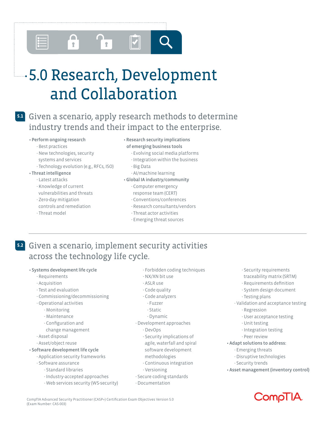

## 5.0 Research, Development and Collaboration

### Given a scenario, apply research methods to determine **5.1** industry trends and their impact to the enterprise.

### • Perform ongoing research

- Best practices
- New technologies, security systems and services
- Technology evolution (e.g., RFCs, ISO)
- Threat intelligence
	- Latest attacks
	- Knowledge of current
	- vulnerabilities and threats - Zero-day mitigation
	- controls and remediation
	- Threat model

#### • Research security implications of emerging business tools

- Evolving social media platforms
- Integration within the business
- Big Data
- AI/machine learning
- Global IA industry/community
	- Computer emergency
	- response team (CERT)
	- Conventions/conferences
	- Research consultants/vendors
	- Threat actor activities
	- Emerging threat sources

### Given a scenario, implement security activities **5.2** across the technology life cycle.

### • Systems development life cycle

- Requirements
- Acquisition
- Test and evaluation
- Commissioning/decommissioning
- Operational activities
	- Monitoring
	- Maintenance
	- Configuration and
	- change management
- Asset disposal
- Asset/object reuse

### • Software development life cycle

- Application security frameworks
- Software assurance
	- Standard libraries
	- Industry-accepted approaches
	- Web services security (WS-security)
- Forbidden coding techniques
- NX/XN bit use
- ASLR use
- Code quality
- Code analyzers
- Fuzzer
- Static
- Dynamic
- Development approaches
	- DevOps
	- Security implications of
	- agile, waterfall and spiral software development
	- methodologies
	- Continuous integration - Versioning
- Secure coding standards
- Documentation
- Security requirements
- traceability matrix (SRTM)
- Requirements definition
- System design document
- Testing plans
- Validation and acceptance testing
	- Regression
	- User acceptance testing
	- Unit testing
	- Integration testing
	- Peer review
- Adapt solutions to address:
	- Emerging threats
	- Disruptive technologies
	- Security trends
- Asset management (inventory control)

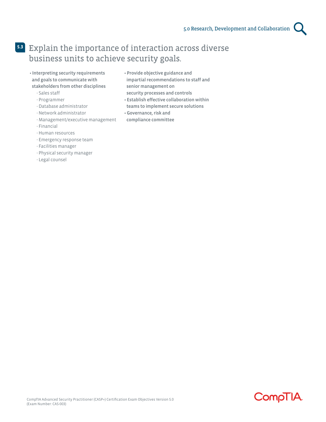### Explain the importance of interaction across diverse **5.3** business units to achieve security goals.

- Interpreting security requirements and goals to communicate with stakeholders from other disciplines
	- Sales staff
	- Programmer
	- Database administrator
	- Network administrator
	- Management/executive management
	- Financial
	- Human resources
	- Emergency response team
	- Facilities manager
	- Physical security manager
	- Legal counsel
- Provide objective guidance and impartial recommendations to staff and senior management on
- security processes and controls
- Establish effective collaboration within teams to implement secure solutions
- Governance, risk and
- compliance committee

CompTIA.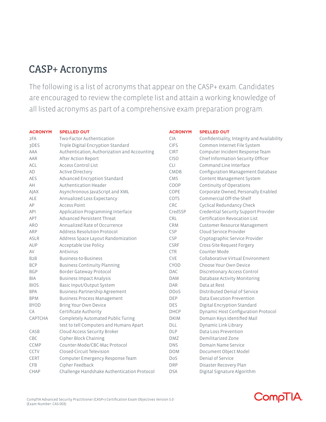## CASP+ Acronyms

The following is a list of acronyms that appear on the CASP+ exam. Candidates are encouraged to review the complete list and attain a working knowledge of all listed acronyms as part of a comprehensive exam preparation program.

| <b>ACRONYM</b> | <b>SPELLED OUT</b>                           | <b>ACRONYM</b> | <b>SPELLED OUT</b>                          |
|----------------|----------------------------------------------|----------------|---------------------------------------------|
| 2FA            | Two-Factor Authentication                    | <b>CIA</b>     | Confidentiality, Integrity and Availability |
| 3DES           | Triple Digital Encryption Standard           | <b>CIFS</b>    | Common Internet File System                 |
| <b>AAA</b>     | Authentication, Authorization and Accounting | <b>CIRT</b>    | Computer Incident Response Team             |
| AAR            | After Action Report                          | <b>CISO</b>    | Chief Information Security Officer          |
| ACL            | <b>Access Control List</b>                   | <b>CLI</b>     | Command Line Interface                      |
| <b>AD</b>      | <b>Active Directory</b>                      | <b>CMDB</b>    | Configuration Management Database           |
| <b>AES</b>     | Advanced Encryption Standard                 | CMS            | Content Management System                   |
| AH             | Authentication Header                        | COOP           | Continuity of Operations                    |
| AJAX           | Asynchronous JavaScript and XML              | COPE           | Corporate Owned, Personally Enabled         |
| ALE            | Annualized Loss Expectancy                   | COTS           | Commercial Off-the-Shelf                    |
| AP             | <b>Access Point</b>                          | CRC            | Cyclical Redundancy Check                   |
| <b>API</b>     | Application Programming Interface            | CredSSP        | Credential Security Support Provider        |
| APT            | Advanced Persistent Threat                   | CRL            | Certification Revocation List               |
| <b>ARO</b>     | Annualized Rate of Occurrence                | <b>CRM</b>     | Customer Resource Management                |
| ARP            | Address Resolution Protocol                  | <b>CSP</b>     | Cloud Service Provider                      |
| <b>ASLR</b>    | Address Space Layout Randomization           | <b>CSP</b>     | Cryptographic Service Provider              |
| AUP            | Acceptable Use Policy                        | <b>CSRF</b>    | Cross-Site Request Forgery                  |
| AV             | Antivirus                                    | <b>CTR</b>     | Counter Mode                                |
| B2B            | <b>Business-to-Business</b>                  | <b>CVE</b>     | Collaborative Virtual Environment           |
| <b>BCP</b>     | <b>Business Continuity Planning</b>          | CYOD           | Choose Your Own Device                      |
| <b>BGP</b>     | Border Gateway Protocol                      | <b>DAC</b>     | Discretionary Access Control                |
| <b>BIA</b>     | <b>Business Impact Analysis</b>              | <b>DAM</b>     | Database Activity Monitoring                |
| <b>BIOS</b>    | Basic Input/Output System                    | <b>DAR</b>     | Data at Rest                                |
| <b>BPA</b>     | <b>Business Partnership Agreement</b>        | <b>DDoS</b>    | Distributed Denial of Service               |
| <b>BPM</b>     | <b>Business Process Management</b>           | <b>DEP</b>     | Data Execution Prevention                   |
| <b>BYOD</b>    | Bring Your Own Device                        | <b>DES</b>     | Digital Encryption Standard                 |
| CA             | Certificate Authority                        | <b>DHCP</b>    | <b>Dynamic Host Configuration Protocol</b>  |
| CAPTCHA        | Completely Automated Public Turing           | <b>DKIM</b>    | Domain Keys Identified Mail                 |
|                | test to tell Computers and Humans Apart      | <b>DLL</b>     | Dynamic Link Library                        |
| CASB           | Cloud Access Security Broker                 | <b>DLP</b>     | Data Loss Prevention                        |
| CBC            | Cipher Block Chaining                        | <b>DMZ</b>     | Demilitarized Zone                          |
| <b>CCMP</b>    | Counter-Mode/CBC-Mac Protocol                | <b>DNS</b>     | Domain Name Service                         |
| <b>CCTV</b>    | Closed-Circuit Television                    | <b>DOM</b>     | Document Object Model                       |
| <b>CERT</b>    | Computer Emergency Response Team             | DoS            | Denial of Service                           |
| CFB            | Cipher Feedback                              | <b>DRP</b>     | Disaster Recovery Plan                      |
| <b>CHAP</b>    | Challenge Handshake Authentication Protocol  | <b>DSA</b>     | Digital Signature Algorithm                 |

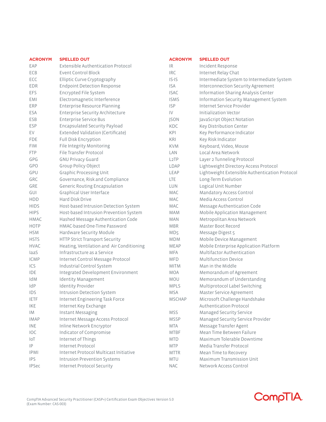| <b>ACRONYM</b> | <b>SPELLED OUT</b>                        | <b>ACRONYM</b>    | <b>SPELLED OUT</b>                             |
|----------------|-------------------------------------------|-------------------|------------------------------------------------|
| EAP            | Extensible Authentication Protocol        | IR.               | Incident Response                              |
| ECB            | <b>Event Control Block</b>                | <b>IRC</b>        | Internet Relay Chat                            |
| ECC            | Elliptic Curve Cryptography               | $IS-IS$           | Intermediate System to Intermediate System     |
| <b>EDR</b>     | <b>Endpoint Detection Response</b>        | <b>ISA</b>        | <b>Interconnection Security Agreement</b>      |
| <b>EFS</b>     | Encrypted File System                     | <b>ISAC</b>       | Information Sharing Analysis Center            |
| <b>EMI</b>     | Electromagnetic Interference              | <b>ISMS</b>       | Information Security Management System         |
| ERP            | <b>Enterprise Resource Planning</b>       | <b>ISP</b>        | Internet Service Provider                      |
| <b>ESA</b>     | <b>Enterprise Security Architecture</b>   | IV                | Initialization Vector                          |
| <b>ESB</b>     | <b>Enterprise Service Bus</b>             | <b>JSON</b>       | JavaScript Object Notation                     |
| <b>ESP</b>     | Encapsulated Security Payload             | KDC               | Key Distribution Center                        |
| EV             | Extended Validation (Certificate)         | <b>KPI</b>        | Key Performance Indicator                      |
| <b>FDE</b>     | Full Disk Encryption                      | KRI               | Key Risk Indicator                             |
| <b>FIM</b>     | File Integrity Monitoring                 | <b>KVM</b>        | Keyboard, Video, Mouse                         |
| <b>FTP</b>     | File Transfer Protocol                    | LAN               | Local Area Network                             |
| GPG            | <b>GNU Privacy Guard</b>                  | L <sub>2</sub> TP | Layer 2 Tunneling Protocol                     |
| GPO            | Group Policy Object                       | LDAP              | Lightweight Directory Access Protocol          |
| GPU            | <b>Graphic Processing Unit</b>            | LEAP              | Lightweight Extensible Authentication Protocol |
| GRC            | Governance, Risk and Compliance           | <b>LTE</b>        | Long-Term Evolution                            |
| GRE            | <b>Generic Routing Encapsulation</b>      | <b>LUN</b>        | Logical Unit Number                            |
| GUI            | Graphical User Interface                  | <b>MAC</b>        | Mandatory Access Control                       |
| <b>HDD</b>     | Hard Disk Drive                           | MAC               | Media Access Control                           |
| <b>HIDS</b>    | Host-based Intrusion Detection System     | MAC               | Message Authentication Code                    |
| <b>HIPS</b>    | Host-based Intrusion Prevention System    | <b>MAM</b>        | Mobile Application Management                  |
| <b>HMAC</b>    | Hashed Message Authentication Code        | <b>MAN</b>        | Metropolitan Area Network                      |
| <b>HOTP</b>    | HMAC-based One-Time Password              | <b>MBR</b>        | Master Boot Record                             |
| <b>HSM</b>     | Hardware Security Module                  | MD <sub>5</sub>   | Message Digest 5                               |
| <b>HSTS</b>    | HTTP Strict Transport Security            | <b>MDM</b>        | Mobile Device Management                       |
| <b>HVAC</b>    | Heating, Ventilation and Air Conditioning | MEAP              | Mobile Enterprise Application Platform         |
| laaS           | Infrastructure as a Service               | <b>MFA</b>        | Multifactor Authentication                     |
| <b>ICMP</b>    | Internet Control Message Protocol         | <b>MFD</b>        | <b>Multifunction Device</b>                    |
| ICS            | <b>Industrial Control System</b>          | <b>MITM</b>       | Man in the Middle                              |
| <b>IDE</b>     | Integrated Development Environment        | <b>MOA</b>        | Memorandum of Agreement                        |
| IdM            | <b>Identity Management</b>                | MOU               | Memorandum of Understanding                    |
| IdP            | <b>Identity Provider</b>                  | <b>MPLS</b>       | Multiprotocol Label Switching                  |
| IDS            | <b>Intrusion Detection System</b>         | <b>MSA</b>        | Master Service Agreement                       |
| <b>IETF</b>    | Internet Engineering Task Force           | <b>MSCHAP</b>     | Microsoft Challenge Handshake                  |
| <b>IKE</b>     | Internet Key Exchange                     |                   | Authentication Protocol                        |
| IM             | Instant Messaging                         | <b>MSS</b>        | Managed Security Service                       |
| <b>IMAP</b>    | Internet Message Access Protocol          | <b>MSSP</b>       | Managed Security Service Provider              |
| <b>INE</b>     | Inline Network Encryptor                  | <b>MTA</b>        | Message Transfer Agent                         |
| IOC            | Indicator of Compromise                   | <b>MTBF</b>       | Mean Time Between Failure                      |
| IoT            | Internet of Things                        | <b>MTD</b>        | Maximum Tolerable Downtime                     |
| IP             | Internet Protocol                         | <b>MTP</b>        | Media Transfer Protocol                        |
| IPMI           | Internet Protocol Multicast Initiative    | <b>MTTR</b>       | Mean Time to Recovery                          |
| <b>IPS</b>     | <b>Intrusion Prevention Systems</b>       | MTU               | Maximum Transmission Unit                      |
| <b>IPSec</b>   | <b>Internet Protocol Security</b>         | <b>NAC</b>        | Network Access Control                         |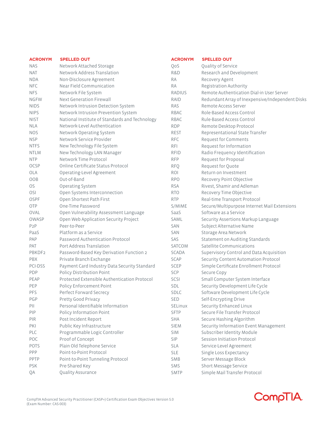| <b>ACRONYM</b> | <b>SPELLED OUT</b>                             | <b>ACRONYM</b> | <b>SPELLED OUT</b>                               |
|----------------|------------------------------------------------|----------------|--------------------------------------------------|
| <b>NAS</b>     | Network Attached Storage                       | QoS            | Quality of Service                               |
| <b>NAT</b>     | Network Address Translation                    | R&D            | Research and Development                         |
| <b>NDA</b>     | Non-Disclosure Agreement                       | <b>RA</b>      | Recovery Agent                                   |
| <b>NFC</b>     | Near Field Communication                       | <b>RA</b>      | Registration Authority                           |
| <b>NFS</b>     | Network File System                            | <b>RADIUS</b>  | Remote Authentication Dial-in User Server        |
| <b>NGFW</b>    | Next Generation Firewall                       | RAID           | Redundant Array of Inexpensive/Independent Disks |
| <b>NIDS</b>    | Network Intrusion Detection System             | RAS            | Remote Access Server                             |
| <b>NIPS</b>    | Network Intrusion Prevention System            | RBAC           | Role-Based Access Control                        |
| <b>NIST</b>    | National Institute of Standards and Technology | RBAC           | Rule-Based Access Control                        |
| <b>NLA</b>     | Network-Level Authentication                   | <b>RDP</b>     | Remote Desktop Protocol                          |
| <b>NOS</b>     | Network Operating System                       | REST           | Representational State Transfer                  |
| <b>NSP</b>     | Network Service Provider                       | <b>RFC</b>     | <b>Request for Comments</b>                      |
| <b>NTFS</b>    | New Technology File System                     | <b>RFI</b>     | Request for Information                          |
| <b>NTLM</b>    | New Technology LAN Manager                     | <b>RFID</b>    | Radio Frequency Identification                   |
| <b>NTP</b>     | Network Time Protocol                          | <b>RFP</b>     | Request for Proposal                             |
| <b>OCSP</b>    | Online Certificate Status Protocol             | <b>RFQ</b>     | Request for Quote                                |
| OLA            | Operating-Level Agreement                      | ROI            | Return on Investment                             |
| OOB            | Out-of-Band                                    | <b>RPO</b>     | Recovery Point Objective                         |
| OS             | Operating System                               | <b>RSA</b>     | Rivest, Shamir and Adleman                       |
| OSI            | Open Systems Interconnection                   | <b>RTO</b>     | Recovery Time Objective                          |
| <b>OSPF</b>    | Open Shortest Path First                       | <b>RTP</b>     | Real-time Transport Protocol                     |
| OTP            | One-Time Password                              | S/MIME         | Secure/Multipurpose Internet Mail Extensions     |
| <b>OVAL</b>    | Open Vulnerability Assessment Language         | SaaS           | Software as a Service                            |
| OWASP          | Open Web Application Security Project          | <b>SAML</b>    | Security Assertions Markup Language              |
| P2P            | Peer-to-Peer                                   | <b>SAN</b>     | Subject Alternative Name                         |
| PaaS           | Platform as a Service                          | <b>SAN</b>     | Storage Area Network                             |
| PAP            | Password Authentication Protocol               | SAS            | Statement on Auditing Standards                  |
| PAT            | Port Address Translation                       | <b>SATCOM</b>  | Satellite Communications                         |
| PBKDF2         | Password-Based Key Derivation Function 2       | <b>SCADA</b>   | Supervisory Control and Data Acquisition         |
| <b>PBX</b>     | Private Branch Exchange                        | SCAP           | Security Content Automation Protocol             |
| PCI-DSS        | Payment Card Industry Data Security Standard   | <b>SCEP</b>    | Simple Certificate Enrollment Protocol           |
| PDP            | Policy Distribution Point                      | <b>SCP</b>     | Secure Copy                                      |
| PEAP           | Protected Extensible Authentication Protocol   | SCSI           | Small Computer System Interface                  |
| PEP            | Policy Enforcement Point                       | SDL            | Security Development Life Cycle                  |
| <b>PFS</b>     | Perfect Forward Secrecy                        | <b>SDLC</b>    | Software Development Life Cycle                  |
| PGP            | Pretty Good Privacy                            | SED            | Self-Encrypting Drive                            |
| P              | Personal Identifiable Information              | SELinux        | Security Enhanced Linux                          |
| <b>PIP</b>     | Policy Information Point                       | <b>SFTP</b>    | Secure File Transfer Protocol                    |
| PIR            | Post Incident Report                           | <b>SHA</b>     | Secure Hashing Algorithm                         |
| PKI            | Public Key Infrastructure                      | <b>SIEM</b>    | Security Information Event Management            |
| PLC            | Programmable Logic Controller                  | <b>SIM</b>     | Subscriber Identity Module                       |
| POC            | Proof of Concept                               | <b>SIP</b>     | Session Initiation Protocol                      |
| POTS           | Plain Old Telephone Service                    | <b>SLA</b>     | Service-Level Agreement                          |
| PPP            | Point-to-Point Protocol                        | <b>SLE</b>     | Single Loss Expectancy                           |
| PPTP           | Point-to-Point Tunneling Protocol              | SMB            | Server Message Block                             |
| <b>PSK</b>     | Pre-Shared Key                                 | SMS            | Short Message Service                            |
|                | Quality Assurance                              | <b>SMTP</b>    | Simple Mail Transfer Protocol                    |
| QA             |                                                |                |                                                  |

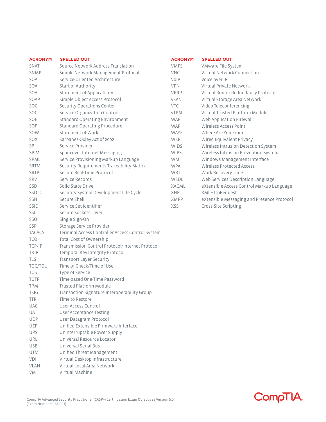| <b>ACRONYM</b> | <b>SPELLED OUT</b>                               | <b>ACRONYM</b> | <b>SPELLED OUT</b>                         |
|----------------|--------------------------------------------------|----------------|--------------------------------------------|
| <b>SNAT</b>    | Source Network Address Translation               | <b>VMFS</b>    | VMware File System                         |
| <b>SNMP</b>    | Simple Network Management Protocol               | <b>VNC</b>     | Virtual Network Connection                 |
| SOA            | Service-Oriented Architecture                    | VoIP           | Voice over IP                              |
| <b>SOA</b>     | Start of Authority                               | <b>VPN</b>     | Virtual Private Network                    |
| SOA            | Statement of Applicability                       | VRRP           | Virtual Router Redundancy Protocol         |
| SOAP           | Simple Object Access Protocol                    | vSAN           | Virtual Storage Area Network               |
| <b>SOC</b>     | Security Operations Center                       | <b>VTC</b>     | Video Teleconferencing                     |
| <b>SOC</b>     | Service Organization Controls                    | <b>VTPM</b>    | Virtual Trusted Platform Module            |
| SOE            | <b>Standard Operating Environment</b>            | <b>WAF</b>     | Web Application Firewall                   |
| SOP            | <b>Standard Operating Procedure</b>              | <b>WAP</b>     | Wireless Access Point                      |
| SOW            | Statement of Work                                | <b>WAYF</b>    | Where Are You From                         |
| SOX            | Sarbanes-Oxley Act of 2002                       | <b>WEP</b>     | Wired Equivalent Privacy                   |
| SP             | Service Provider                                 | <b>WIDS</b>    | Wireless Intrusion Detection System        |
| <b>SPIM</b>    | Spam over Internet Messaging                     | <b>WIPS</b>    | Wireless Intrusion Prevention System       |
| SPML           | Service Provisioning Markup Language             | <b>WMI</b>     | Windows Management Interface               |
| <b>SRTM</b>    | Security Requirements Traceability Matrix        | <b>WPA</b>     | Wireless Protected Access                  |
| <b>SRTP</b>    | Secure Real-Time Protocol                        | <b>WRT</b>     | Work Recovery Time                         |
| SRV            | Service Records                                  | WSDL           | Web Services Description Language          |
| <b>SSD</b>     | Solid State Drive                                | XACML          | eXtensible Access Control Markup Language  |
| SSDLC          | Security System Development Life Cycle           | <b>XHR</b>     | XMLHttpRequest                             |
| <b>SSH</b>     | Secure Shell                                     | XMPP           | eXtensible Messaging and Presence Protocol |
| SSID           | Service Set Identifier                           | <b>XSS</b>     | Cross-Site Scripting                       |
| SSL            | Secure Sockets Layer                             |                |                                            |
| <b>SSO</b>     | Single Sign-On                                   |                |                                            |
| SSP            | Storage Service Provider                         |                |                                            |
| <b>TACACS</b>  | Terminal Access Controller Access Control System |                |                                            |
| <b>TCO</b>     | Total Cost of Ownership                          |                |                                            |
| TCP/IP         | Transmission Control Protocol/Internet Protocol  |                |                                            |
| <b>TKIP</b>    | Temporal Key Integrity Protocol                  |                |                                            |
| <b>TLS</b>     | Transport Layer Security                         |                |                                            |
| TOC/TOU        | Time of Check/Time of Use                        |                |                                            |
| <b>TOS</b>     | Type of Service                                  |                |                                            |
| <b>TOTP</b>    | Time-based One-Time Password                     |                |                                            |
| <b>TPM</b>     | <b>Trusted Platform Module</b>                   |                |                                            |
| <b>TSIG</b>    | Transaction Signature Interoperability Group     |                |                                            |
| <b>TTR</b>     | Time to Restore                                  |                |                                            |
| <b>UAC</b>     | User Access Control                              |                |                                            |
| UAT            | <b>User Acceptance Testing</b>                   |                |                                            |
| <b>UDP</b>     | User Datagram Protocol                           |                |                                            |
| <b>UEFI</b>    | Unified Extensible Firmware Interface            |                |                                            |
| <b>UPS</b>     | Uninterruptable Power Supply                     |                |                                            |
| URL            | Universal Resource Locator                       |                |                                            |
| <b>USB</b>     | Universal Serial Bus                             |                |                                            |
| <b>UTM</b>     | Unified Threat Management                        |                |                                            |

VDI Virtual Desktop Infrastructure VLAN Virtual Local Area Network

VM Virtual Machine